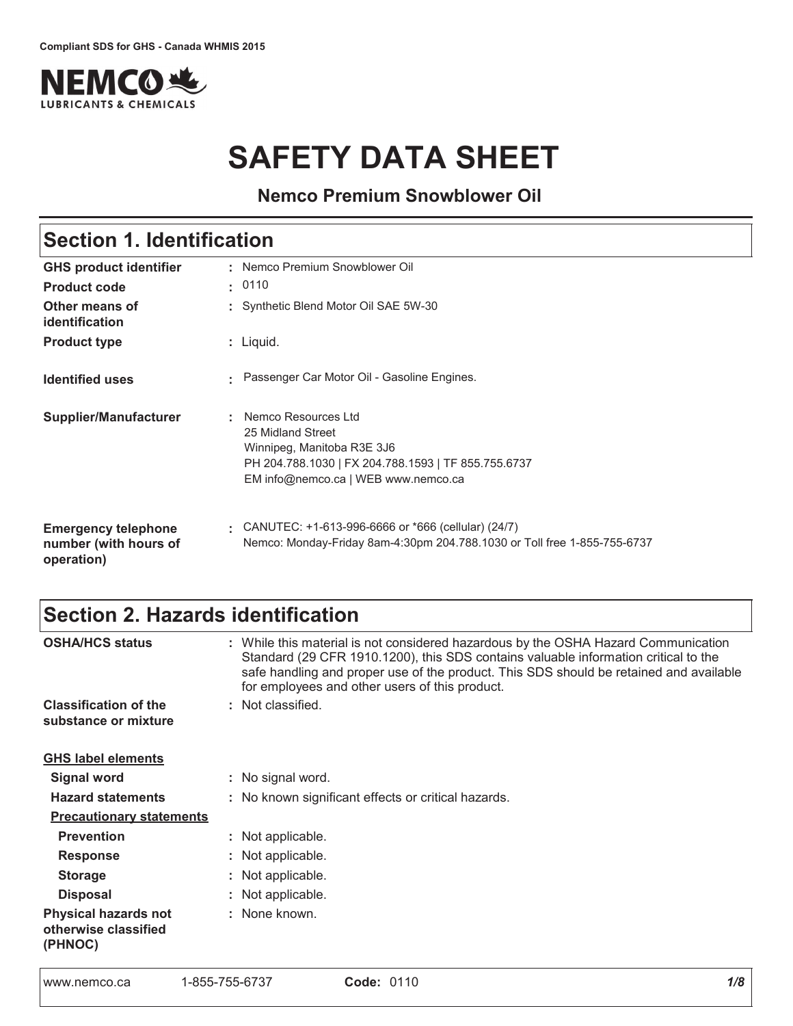

# **SAFETY DATA SHEET**

**Nemco Premium Snowblower Oil**

# Section 1. Identification

| <b>GHS product identifier</b>                                     | : Nemco Premium Snowblower Oil                                                                                                                                         |
|-------------------------------------------------------------------|------------------------------------------------------------------------------------------------------------------------------------------------------------------------|
| <b>Product code</b>                                               | . 0110                                                                                                                                                                 |
| Other means of<br>identification                                  | : Synthetic Blend Motor Oil SAE 5W-30                                                                                                                                  |
| <b>Product type</b>                                               | $:$ Liquid.                                                                                                                                                            |
| <b>Identified uses</b>                                            | Passenger Car Motor Oil - Gasoline Engines.                                                                                                                            |
| <b>Supplier/Manufacturer</b>                                      | : Nemco Resources Ltd<br>25 Midland Street<br>Winnipeg, Manitoba R3E 3J6<br>PH 204.788.1030   FX 204.788.1593   TF 855.755.6737<br>EM info@nemco.ca   WEB www.nemco.ca |
| <b>Emergency telephone</b><br>number (with hours of<br>operation) | : CANUTEC: $+1-613-996-6666$ or $*666$ (cellular) (24/7)<br>Nemco: Monday-Friday 8am-4:30pm 204.788.1030 or Toll free 1-855-755-6737                                   |

# Section 2. Hazards identification

| <b>OSHA/HCS status</b>                                         | : While this material is not considered hazardous by the OSHA Hazard Communication<br>Standard (29 CFR 1910.1200), this SDS contains valuable information critical to the<br>safe handling and proper use of the product. This SDS should be retained and available<br>for employees and other users of this product. |  |  |  |  |  |
|----------------------------------------------------------------|-----------------------------------------------------------------------------------------------------------------------------------------------------------------------------------------------------------------------------------------------------------------------------------------------------------------------|--|--|--|--|--|
| <b>Classification of the</b>                                   | : Not classified.                                                                                                                                                                                                                                                                                                     |  |  |  |  |  |
| substance or mixture                                           |                                                                                                                                                                                                                                                                                                                       |  |  |  |  |  |
| <b>GHS label elements</b>                                      |                                                                                                                                                                                                                                                                                                                       |  |  |  |  |  |
| <b>Signal word</b>                                             | : No signal word.                                                                                                                                                                                                                                                                                                     |  |  |  |  |  |
| <b>Hazard statements</b>                                       | : No known significant effects or critical hazards.                                                                                                                                                                                                                                                                   |  |  |  |  |  |
| <b>Precautionary statements</b>                                |                                                                                                                                                                                                                                                                                                                       |  |  |  |  |  |
| <b>Prevention</b>                                              | : Not applicable.                                                                                                                                                                                                                                                                                                     |  |  |  |  |  |
| <b>Response</b>                                                | : Not applicable.                                                                                                                                                                                                                                                                                                     |  |  |  |  |  |
| <b>Storage</b>                                                 | : Not applicable.                                                                                                                                                                                                                                                                                                     |  |  |  |  |  |
| <b>Disposal</b>                                                | : Not applicable.                                                                                                                                                                                                                                                                                                     |  |  |  |  |  |
| <b>Physical hazards not</b><br>otherwise classified<br>(PHNOC) | : None known.                                                                                                                                                                                                                                                                                                         |  |  |  |  |  |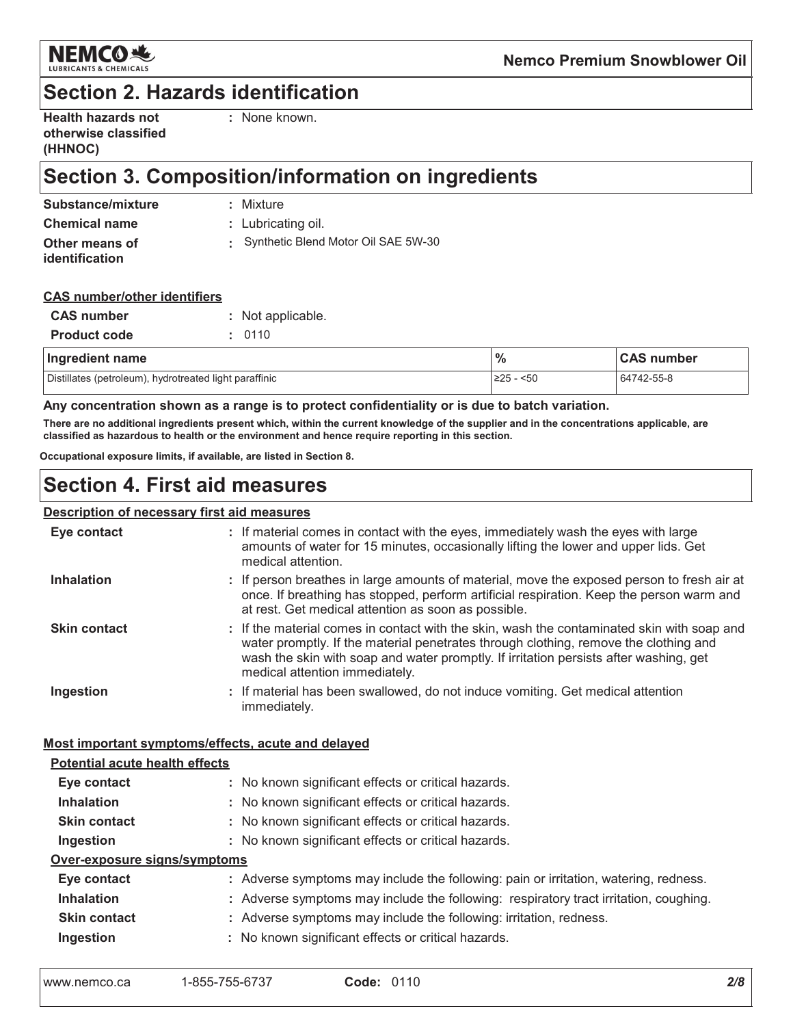

# **Section 2. Hazards identification**

| <b>Health hazards not</b> |  |
|---------------------------|--|
| otherwise classified      |  |
| (HHNOC)                   |  |

: None known.

# Section 3. Composition/information on ingredients

| Substance/mixture                | : Mixture                           |
|----------------------------------|-------------------------------------|
| <b>Chemical name</b>             | : Lubricating oil.                  |
| Other means of<br>identification | Synthetic Blend Motor Oil SAE 5W-30 |

#### **CAS number/other identifiers**

| <b>CAS number</b>   | : Not applicable. |
|---------------------|-------------------|
| <b>Product code</b> | : 0110            |
|                     |                   |

| Ingredient name                                        | $\frac{9}{6}$ | <b>CAS number</b> |  |
|--------------------------------------------------------|---------------|-------------------|--|
| Distillates (petroleum), hydrotreated light paraffinic | ≥25 -<br>$50$ | 64742-55-8        |  |

#### Any concentration shown as a range is to protect confidentiality or is due to batch variation.

There are no additional ingredients present which, within the current knowledge of the supplier and in the concentrations applicable, are classified as hazardous to health or the environment and hence require reporting in this section.

Occupational exposure limits, if available, are listed in Section 8.

### **Section 4. First aid measures**

#### **Description of necessary first aid measures**

| Eye contact                                        | : If material comes in contact with the eyes, immediately wash the eyes with large<br>amounts of water for 15 minutes, occasionally lifting the lower and upper lids. Get<br>medical attention.                                                                                                               |
|----------------------------------------------------|---------------------------------------------------------------------------------------------------------------------------------------------------------------------------------------------------------------------------------------------------------------------------------------------------------------|
| Inhalation                                         | : If person breathes in large amounts of material, move the exposed person to fresh air at<br>once. If breathing has stopped, perform artificial respiration. Keep the person warm and<br>at rest. Get medical attention as soon as possible.                                                                 |
| <b>Skin contact</b>                                | : If the material comes in contact with the skin, wash the contaminated skin with soap and<br>water promptly. If the material penetrates through clothing, remove the clothing and<br>wash the skin with soap and water promptly. If irritation persists after washing, get<br>medical attention immediately. |
| Ingestion                                          | : If material has been swallowed, do not induce vomiting. Get medical attention<br>immediately.                                                                                                                                                                                                               |
| Most important symptoms/effects, acute and delayed |                                                                                                                                                                                                                                                                                                               |
| <b>Potential acute health effects</b>              |                                                                                                                                                                                                                                                                                                               |
| Eye contact                                        | : No known significant effects or critical hazards.                                                                                                                                                                                                                                                           |
| <b>Inhalation</b>                                  | : No known significant effects or critical hazards.                                                                                                                                                                                                                                                           |
| <b>Skin contact</b>                                | : No known significant effects or critical hazards.                                                                                                                                                                                                                                                           |
| Ingestion                                          | : No known significant effects or critical hazards.                                                                                                                                                                                                                                                           |
| Over-exposure signs/symptoms                       |                                                                                                                                                                                                                                                                                                               |
| Eye contact                                        | : Adverse symptoms may include the following: pain or irritation, watering, redness.                                                                                                                                                                                                                          |
| <b>Inhalation</b>                                  | : Adverse symptoms may include the following: respiratory tract irritation, coughing.                                                                                                                                                                                                                         |
| <b>Skin contact</b>                                | : Adverse symptoms may include the following: irritation, redness.                                                                                                                                                                                                                                            |
| Ingestion                                          | : No known significant effects or critical hazards.                                                                                                                                                                                                                                                           |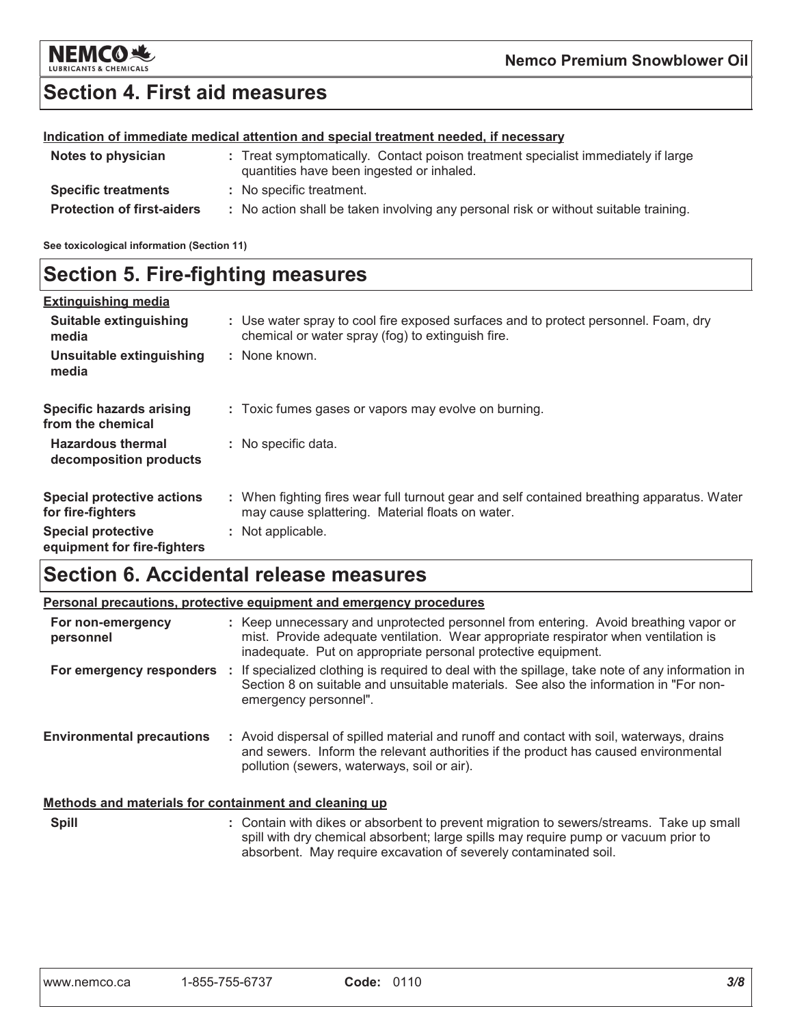

# **Section 4. First aid measures**

#### Indication of immediate medical attention and special treatment needed, if necessary

| Notes to physician                | : Treat symptomatically. Contact poison treatment specialist immediately if large<br>quantities have been ingested or inhaled. |
|-----------------------------------|--------------------------------------------------------------------------------------------------------------------------------|
| <b>Specific treatments</b>        | : No specific treatment.                                                                                                       |
| <b>Protection of first-aiders</b> | : No action shall be taken involving any personal risk or without suitable training.                                           |

See toxicological information (Section 11)

### **Section 5. Fire-fighting measures**

| <b>Extinguishing media</b>                               |                                                                                                                                                |
|----------------------------------------------------------|------------------------------------------------------------------------------------------------------------------------------------------------|
| Suitable extinguishing<br>media                          | : Use water spray to cool fire exposed surfaces and to protect personnel. Foam, dry<br>chemical or water spray (fog) to extinguish fire.       |
| Unsuitable extinguishing<br>media                        | : None known.                                                                                                                                  |
| <b>Specific hazards arising</b><br>from the chemical     | : Toxic fumes gases or vapors may evolve on burning.                                                                                           |
| <b>Hazardous thermal</b><br>decomposition products       | : No specific data.                                                                                                                            |
| <b>Special protective actions</b><br>for fire-fighters   | : When fighting fires wear full turnout gear and self contained breathing apparatus. Water<br>may cause splattering. Material floats on water. |
| <b>Special protective</b><br>equipment for fire-fighters | : Not applicable.                                                                                                                              |

# **Section 6. Accidental release measures**

|                                                       | <b>Personal precautions, protective equipment and emergency procedures</b>                                                                                                                                                                         |
|-------------------------------------------------------|----------------------------------------------------------------------------------------------------------------------------------------------------------------------------------------------------------------------------------------------------|
| For non-emergency<br>personnel                        | : Keep unnecessary and unprotected personnel from entering. Avoid breathing vapor or<br>mist. Provide adequate ventilation. Wear appropriate respirator when ventilation is<br>inadequate. Put on appropriate personal protective equipment.       |
|                                                       | For emergency responders : If specialized clothing is required to deal with the spillage, take note of any information in<br>Section 8 on suitable and unsuitable materials. See also the information in "For non-<br>emergency personnel".        |
| <b>Environmental precautions</b>                      | : Avoid dispersal of spilled material and runoff and contact with soil, waterways, drains<br>and sewers. Inform the relevant authorities if the product has caused environmental<br>pollution (sewers, waterways, soil or air).                    |
| Methods and materials for containment and cleaning up |                                                                                                                                                                                                                                                    |
| <b>Spill</b>                                          | : Contain with dikes or absorbent to prevent migration to sewers/streams. Take up small<br>spill with dry chemical absorbent; large spills may require pump or vacuum prior to<br>absorbent. May require excavation of severely contaminated soil. |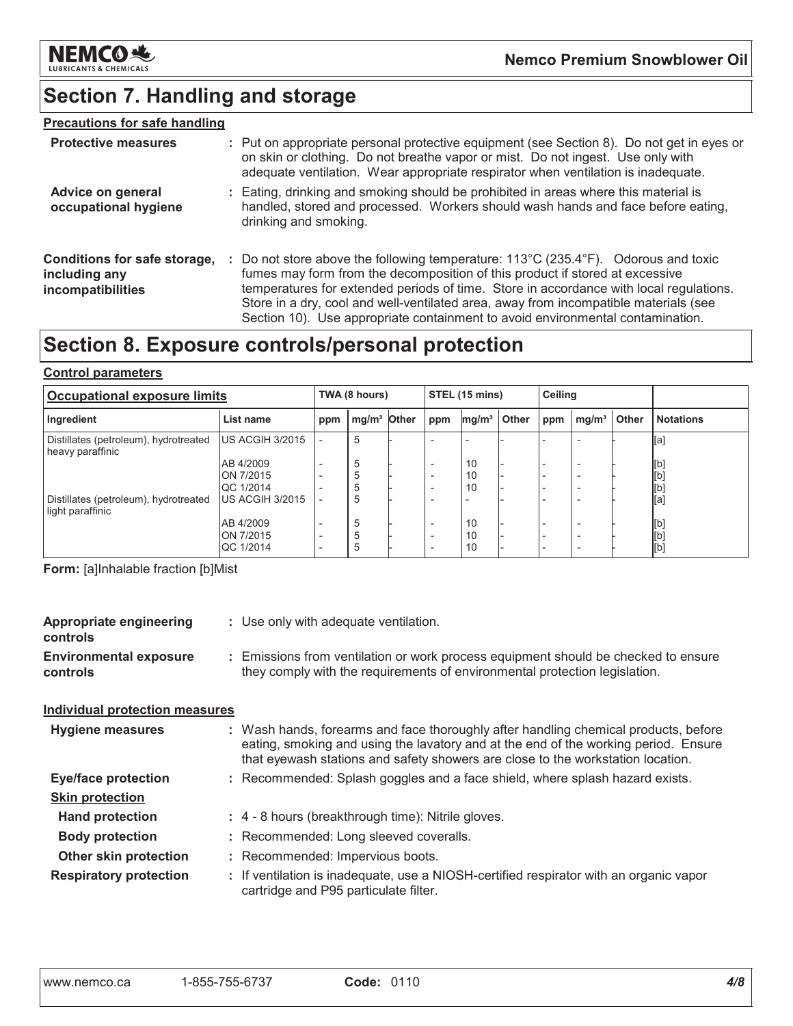

# **Section 7. Handling and storage**

#### **Precautions for safe handling**

| <b>Protective measures</b>                                         | : Put on appropriate personal protective equipment (see Section 8). Do not get in eyes or<br>on skin or clothing. Do not breathe vapor or mist. Do not ingest. Use only with<br>adequate ventilation. Wear appropriate respirator when ventilation is inadequate.                                                                                                                                                                                           |
|--------------------------------------------------------------------|-------------------------------------------------------------------------------------------------------------------------------------------------------------------------------------------------------------------------------------------------------------------------------------------------------------------------------------------------------------------------------------------------------------------------------------------------------------|
| <b>Advice on general</b><br>occupational hygiene                   | : Eating, drinking and smoking should be prohibited in areas where this material is<br>handled, stored and processed. Workers should wash hands and face before eating,<br>drinking and smoking.                                                                                                                                                                                                                                                            |
| Conditions for safe storage,<br>including any<br>incompatibilities | : Do not store above the following temperature: $113^{\circ}$ C (235.4 $^{\circ}$ F). Odorous and toxic<br>fumes may form from the decomposition of this product if stored at excessive<br>temperatures for extended periods of time. Store in accordance with local regulations.<br>Store in a dry, cool and well-ventilated area, away from incompatible materials (see<br>Section 10). Use appropriate containment to avoid environmental contamination. |

# Section 8. Exposure controls/personal protection

#### **Control parameters**

| <b>Occupational exposure limits</b>                       |                 |                          | TWA (8 hours)           |  |                          | STEL (15 mins)    |       |     | Ceiling           |       |                  |
|-----------------------------------------------------------|-----------------|--------------------------|-------------------------|--|--------------------------|-------------------|-------|-----|-------------------|-------|------------------|
| Ingredient                                                | List name       | ppm                      | mg/m <sup>3</sup> Other |  | ppm                      | mg/m <sup>3</sup> | Other | ppm | mg/m <sup>3</sup> | Other | <b>Notations</b> |
| Distillates (petroleum), hydrotreated<br>heavy paraffinic | US ACGIH 3/2015 | $\overline{\phantom{0}}$ | 5                       |  |                          |                   |       |     |                   |       | [a]              |
|                                                           | AB 4/2009       | $\qquad \qquad$          | 5                       |  | $\overline{\phantom{0}}$ | 10                |       |     |                   |       | [b]              |
|                                                           | ON 7/2015       |                          | 5                       |  | $\overline{\phantom{0}}$ | 10                |       |     |                   |       | [b]              |
|                                                           | QC 1/2014       |                          | 5                       |  | $\overline{\phantom{0}}$ | 10                |       |     |                   |       | [b]              |
| Distillates (petroleum), hydrotreated<br>light paraffinic | US ACGIH 3/2015 |                          | 5                       |  |                          |                   |       |     |                   |       | [a]              |
|                                                           | AB 4/2009       | $\overline{\phantom{a}}$ | 5                       |  | $\overline{\phantom{0}}$ | 10                |       |     |                   |       | [b]              |
|                                                           | ON 7/2015       |                          | 5                       |  | $\overline{\phantom{0}}$ | 10                |       |     |                   |       | [b]              |
|                                                           | QC 1/2014       | $\qquad \qquad$          | 5                       |  | $\overline{\phantom{0}}$ | 10                |       |     |                   |       | [b]              |

Form: [a]Inhalable fraction [b]Mist

| <b>Appropriate engineering</b><br>controls | : Use only with adequate ventilation.                                                                                                                                                                                                                         |
|--------------------------------------------|---------------------------------------------------------------------------------------------------------------------------------------------------------------------------------------------------------------------------------------------------------------|
| <b>Environmental exposure</b><br>controls  | : Emissions from ventilation or work process equipment should be checked to ensure<br>they comply with the requirements of environmental protection legislation.                                                                                              |
| <b>Individual protection measures</b>      |                                                                                                                                                                                                                                                               |
| Hygiene measures                           | : Wash hands, forearms and face thoroughly after handling chemical products, before<br>eating, smoking and using the lavatory and at the end of the working period. Ensure<br>that eyewash stations and safety showers are close to the workstation location. |
| <b>Eye/face protection</b>                 | : Recommended: Splash goggles and a face shield, where splash hazard exists.                                                                                                                                                                                  |
| <b>Skin protection</b>                     |                                                                                                                                                                                                                                                               |
| <b>Hand protection</b>                     | : 4 - 8 hours (breakthrough time): Nitrile gloves.                                                                                                                                                                                                            |
| <b>Body protection</b>                     | : Recommended: Long sleeved coveralls.                                                                                                                                                                                                                        |
| <b>Other skin protection</b>               | : Recommended: Impervious boots.                                                                                                                                                                                                                              |
| <b>Respiratory protection</b>              | : If ventilation is inadequate, use a NIOSH-certified respirator with an organic vapor<br>cartridge and P95 particulate filter.                                                                                                                               |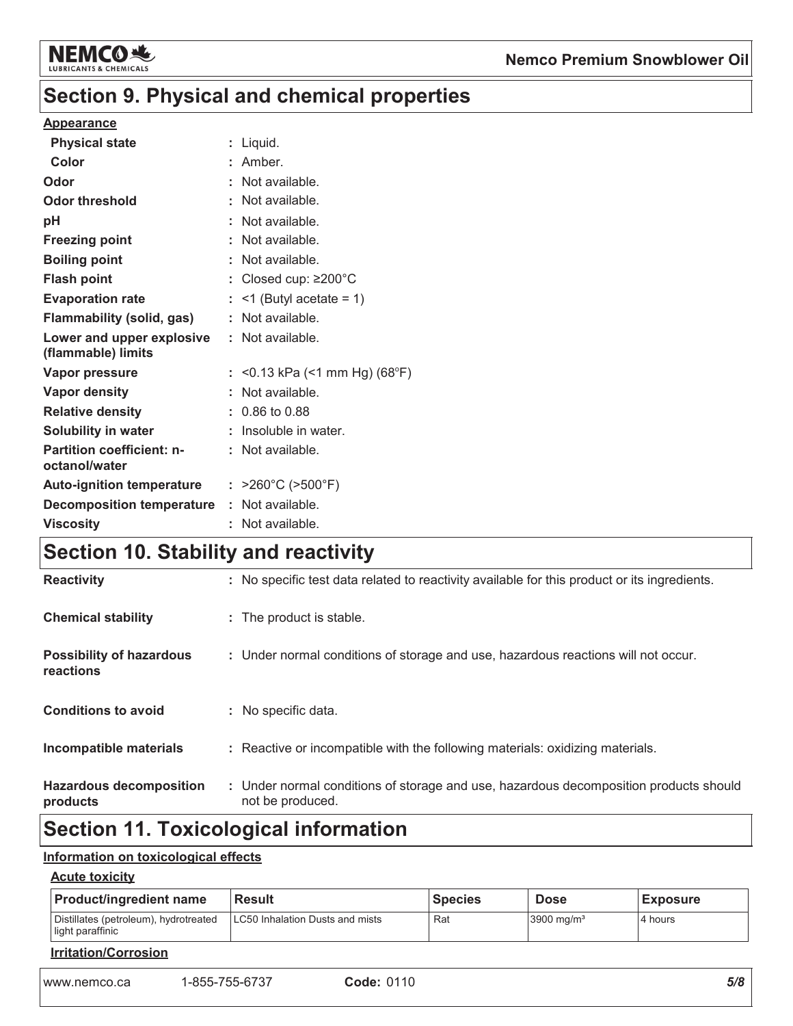

# Section 9. Physical and chemical properties

#### **Appearance**

| <b>Physical state</b>                             | : Liquid.                              |
|---------------------------------------------------|----------------------------------------|
| Color                                             | : Amber.                               |
| Odor                                              | : Not available.                       |
| <b>Odor threshold</b>                             | : Not available.                       |
| pH                                                | : Not available.                       |
| <b>Freezing point</b>                             | : Not available.                       |
| <b>Boiling point</b>                              | : Not available.                       |
| <b>Flash point</b>                                | : Closed cup: $\geq$ 200 $^{\circ}$ C  |
| <b>Evaporation rate</b>                           | $:$ <1 (Butyl acetate = 1)             |
| <b>Flammability (solid, gas)</b>                  | : Not available.                       |
| Lower and upper explosive<br>(flammable) limits   | : Not available.                       |
| Vapor pressure                                    | : < 0.13 kPa (< 1 mm Hg) (68°F)        |
| <b>Vapor density</b>                              | : Not available.                       |
| <b>Relative density</b>                           | $: 0.86$ to 0.88                       |
| Solubility in water                               | : Insoluble in water.                  |
| <b>Partition coefficient: n-</b><br>octanol/water | : Not available.                       |
| <b>Auto-ignition temperature</b>                  | : $>260^{\circ}$ C ( $>500^{\circ}$ F) |
| <b>Decomposition temperature</b>                  | : Not available.                       |
| <b>Viscosity</b>                                  | : Not available.                       |
|                                                   |                                        |

# Section 10. Stability and reactivity

| <b>Hazardous decomposition</b><br>products   | : Under normal conditions of storage and use, hazardous decomposition products should<br>not be produced. |
|----------------------------------------------|-----------------------------------------------------------------------------------------------------------|
| Incompatible materials                       | : Reactive or incompatible with the following materials: oxidizing materials.                             |
| <b>Conditions to avoid</b>                   | : No specific data.                                                                                       |
| <b>Possibility of hazardous</b><br>reactions | : Under normal conditions of storage and use, hazardous reactions will not occur.                         |
| <b>Chemical stability</b>                    | : The product is stable.                                                                                  |
| <b>Reactivity</b>                            | : No specific test data related to reactivity available for this product or its ingredients.              |

# **Section 11. Toxicological information**

#### Information on toxicological effects

#### **Acute toxicity**

| <b>Product/ingredient name</b>                            | <b>Result</b>  |                                 | <b>Species</b> | <b>Dose</b>              | <b>Exposure</b> |
|-----------------------------------------------------------|----------------|---------------------------------|----------------|--------------------------|-----------------|
| Distillates (petroleum), hydrotreated<br>light paraffinic |                | LC50 Inhalation Dusts and mists |                | $3900$ mg/m <sup>3</sup> | 4 hours         |
| <b>Irritation/Corrosion</b>                               |                |                                 |                |                          |                 |
| www.nemco.ca                                              | 1-855-755-6737 | <b>Code: 0110</b>               |                |                          | 5/8             |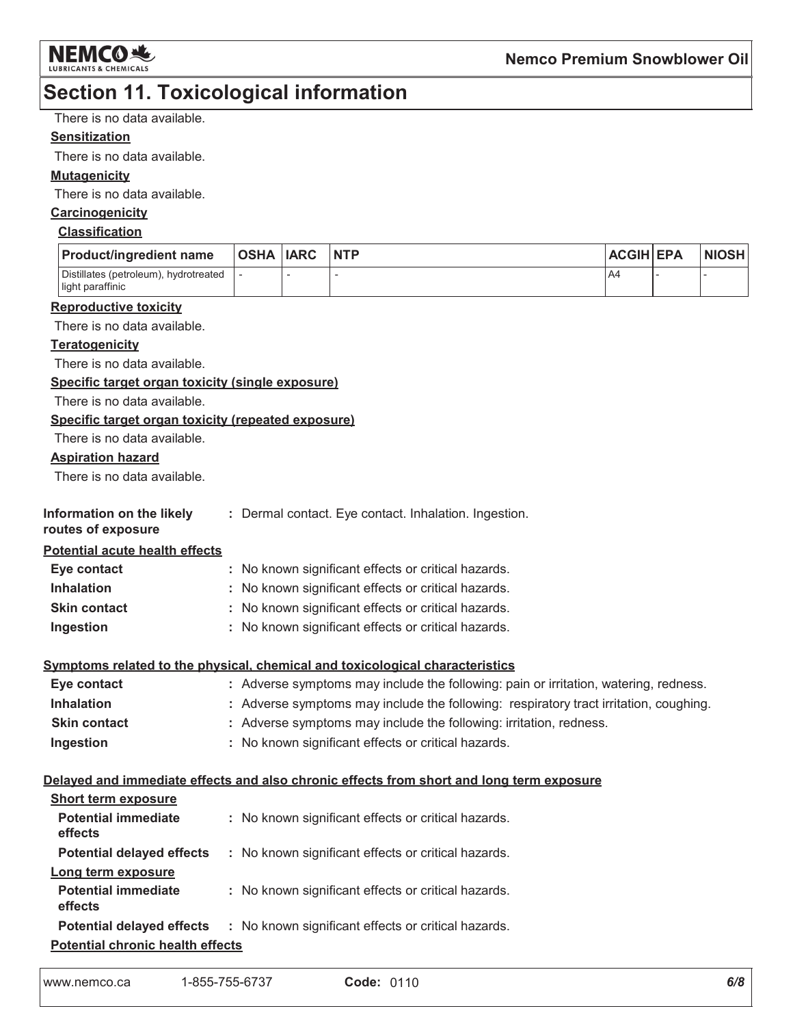

### **Section 11. Toxicological information**

There is no data available.

#### **Sensitization**

There is no data available.

#### **Mutagenicity**

There is no data available.

#### Carcinogenicity

#### **Classification**

| <b>Product/ingredient name</b>                            | OSHA  IARC | <b>NTP</b> | <b>ACGIH EPA</b> | <b>NIOSH</b> |
|-----------------------------------------------------------|------------|------------|------------------|--------------|
| Distillates (petroleum), hydrotreated<br>light paraffinic |            |            | A4               |              |

#### **Reproductive toxicity**

There is no data available.

#### **Teratogenicity**

There is no data available.

Specific target organ toxicity (single exposure)

There is no data available.

#### Specific target organ toxicity (repeated exposure)

There is no data available.

#### **Aspiration hazard**

There is no data available.

| Information on the likely |  | : Dermal contact. Eye contact. Inhalation. Ingestion. |
|---------------------------|--|-------------------------------------------------------|
|                           |  |                                                       |

#### routes of exposure

**Potential acute health effects** 

| Eye contact         | : No known significant effects or critical hazards. |
|---------------------|-----------------------------------------------------|
| <b>Inhalation</b>   | : No known significant effects or critical hazards. |
| <b>Skin contact</b> | : No known significant effects or critical hazards. |
| Ingestion           | : No known significant effects or critical hazards. |

#### Symptoms related to the physical, chemical and toxicological characteristics

| Eye contact         | : Adverse symptoms may include the following: pain or irritation, watering, redness.  |
|---------------------|---------------------------------------------------------------------------------------|
| <b>Inhalation</b>   | : Adverse symptoms may include the following: respiratory tract irritation, coughing. |
| <b>Skin contact</b> | : Adverse symptoms may include the following: irritation, redness.                    |
| Ingestion           | : No known significant effects or critical hazards.                                   |

#### Delayed and immediate effects and also chronic effects from short and long term exposure

| <b>Short term exposure</b>              |  |                                                                                      |  |  |
|-----------------------------------------|--|--------------------------------------------------------------------------------------|--|--|
| <b>Potential immediate</b><br>effects   |  | : No known significant effects or critical hazards.                                  |  |  |
| <b>Potential delayed effects</b>        |  | : No known significant effects or critical hazards.                                  |  |  |
| Long term exposure                      |  |                                                                                      |  |  |
| <b>Potential immediate</b><br>effects   |  | : No known significant effects or critical hazards.                                  |  |  |
|                                         |  | <b>Potential delayed effects</b> : No known significant effects or critical hazards. |  |  |
| <b>Potential chronic health effects</b> |  |                                                                                      |  |  |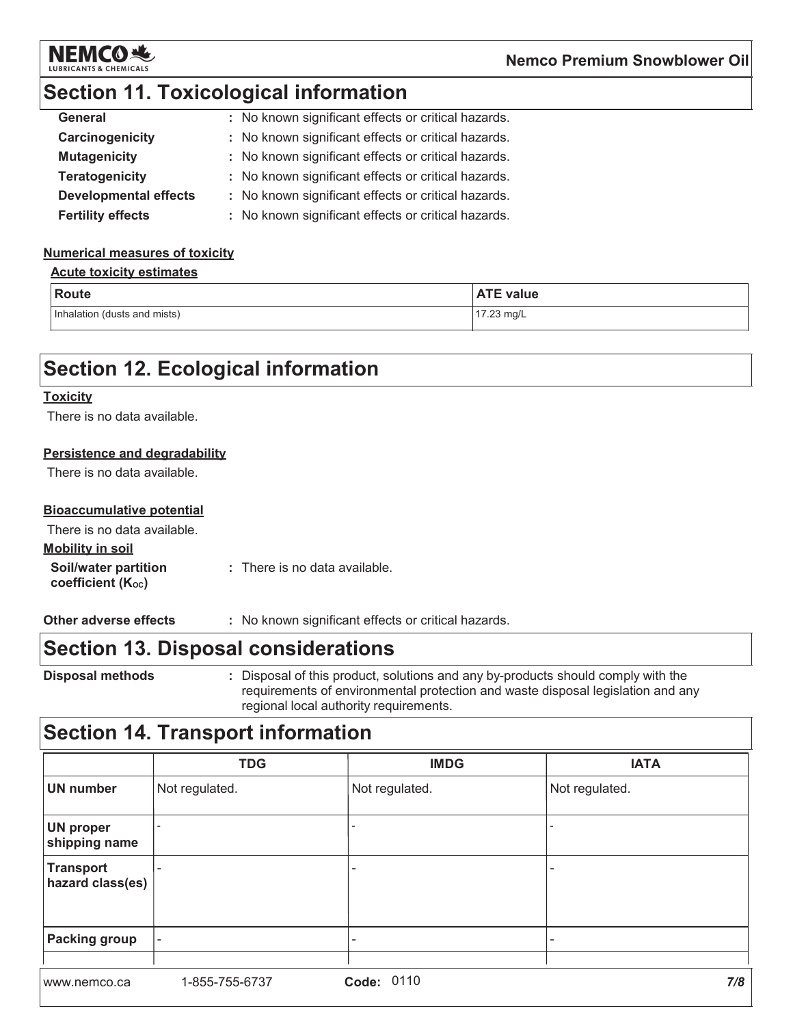

# **Section 11. Toxicological information**

| General                      | : No known significant effects or critical hazards. |
|------------------------------|-----------------------------------------------------|
| Carcinogenicity              | : No known significant effects or critical hazards. |
| <b>Mutagenicity</b>          | : No known significant effects or critical hazards. |
| <b>Teratogenicity</b>        | : No known significant effects or critical hazards. |
| <b>Developmental effects</b> | : No known significant effects or critical hazards. |
| <b>Fertility effects</b>     | : No known significant effects or critical hazards. |

#### **Numerical measures of toxicity**

#### **Acute toxicity estimates**

| Route                        | <b>ATE value</b> |
|------------------------------|------------------|
| Inhalation (dusts and mists) | 17.23 mg/L       |

# **Section 12. Ecological information**

#### **Toxicity**

There is no data available.

#### **Persistence and degradability**

There is no data available.

#### **Bioaccumulative potential**

| There is no data available.                                   |                               |
|---------------------------------------------------------------|-------------------------------|
| <b>Mobility in soil</b>                                       |                               |
| <b>Soil/water partition</b><br>coefficient (K <sub>oc</sub> ) | : There is no data available. |

: No known significant effects or critical hazards. Other adverse effects

### **Section 13. Disposal considerations**

**Disposal methods** 

: Disposal of this product, solutions and any by-products should comply with the requirements of environmental protection and waste disposal legislation and any regional local authority requirements.

### **Section 14. Transport information**

|                                      | <b>TDG</b>               | <b>IMDG</b>              | <b>IATA</b>    |
|--------------------------------------|--------------------------|--------------------------|----------------|
| <b>UN number</b>                     | Not regulated.           | Not regulated.           | Not regulated. |
| <b>UN proper</b><br>shipping name    |                          |                          |                |
| <b>Transport</b><br>hazard class(es) |                          | $\overline{\phantom{0}}$ |                |
| <b>Packing group</b>                 | $\overline{\phantom{a}}$ |                          |                |
| www.nemco.ca                         | 1-855-755-6737           | Code: 0110               | 7/8            |